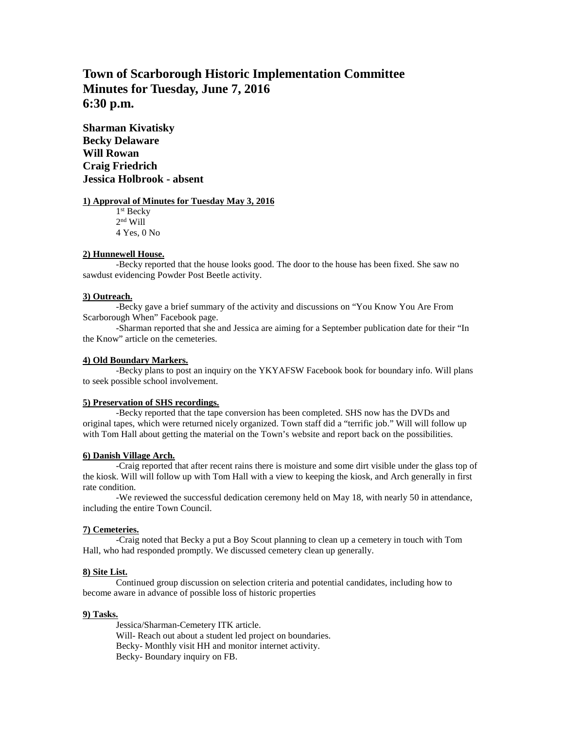# **Town of Scarborough Historic Implementation Committee Minutes for Tuesday, June 7, 2016 6:30 p.m.**

**Sharman Kivatisky Becky Delaware Will Rowan Craig Friedrich Jessica Holbrook - absent**

#### **1) Approval of Minutes for Tuesday May 3, 2016**

1 st Becky  $2<sup>nd</sup>$  Will 4 Yes, 0 No

## **2) Hunnewell House.**

-Becky reported that the house looks good. The door to the house has been fixed. She saw no sawdust evidencing Powder Post Beetle activity.

#### **3) Outreach.**

-Becky gave a brief summary of the activity and discussions on "You Know You Are From Scarborough When" Facebook page.

-Sharman reported that she and Jessica are aiming for a September publication date for their "In the Know" article on the cemeteries.

## **4) Old Boundary Markers.**

-Becky plans to post an inquiry on the YKYAFSW Facebook book for boundary info. Will plans to seek possible school involvement.

#### **5) Preservation of SHS recordings.**

-Becky reported that the tape conversion has been completed. SHS now has the DVDs and original tapes, which were returned nicely organized. Town staff did a "terrific job." Will will follow up with Tom Hall about getting the material on the Town's website and report back on the possibilities.

# **6) Danish Village Arch.**

-Craig reported that after recent rains there is moisture and some dirt visible under the glass top of the kiosk. Will will follow up with Tom Hall with a view to keeping the kiosk, and Arch generally in first rate condition.

-We reviewed the successful dedication ceremony held on May 18, with nearly 50 in attendance, including the entire Town Council.

#### **7) Cemeteries.**

-Craig noted that Becky a put a Boy Scout planning to clean up a cemetery in touch with Tom Hall, who had responded promptly. We discussed cemetery clean up generally.

# **8) Site List.**

Continued group discussion on selection criteria and potential candidates, including how to become aware in advance of possible loss of historic properties

#### **9) Tasks.**

Jessica/Sharman-Cemetery ITK article. Will- Reach out about a student led project on boundaries. Becky- Monthly visit HH and monitor internet activity. Becky- Boundary inquiry on FB.